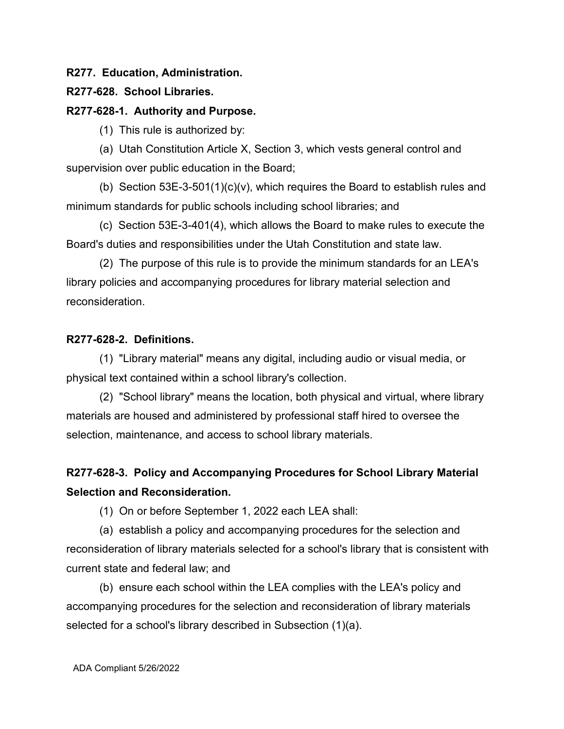### **R277. Education, Administration.**

### **R277-628. School Libraries.**

### **R277-628-1. Authority and Purpose.**

(1) This rule is authorized by:

(a) Utah Constitution Article X, Section 3, which vests general control and supervision over public education in the Board;

(b) Section 53E-3-501(1)(c)(v), which requires the Board to establish rules and minimum standards for public schools including school libraries; and

(c) Section 53E-3-401(4), which allows the Board to make rules to execute the Board's duties and responsibilities under the Utah Constitution and state law.

(2) The purpose of this rule is to provide the minimum standards for an LEA's library policies and accompanying procedures for library material selection and reconsideration.

## **R277-628-2. Definitions.**

(1) "Library material" means any digital, including audio or visual media, or physical text contained within a school library's collection.

(2) "School library" means the location, both physical and virtual, where library materials are housed and administered by professional staff hired to oversee the selection, maintenance, and access to school library materials.

# **R277-628-3. Policy and Accompanying Procedures for School Library Material Selection and Reconsideration.**

(1) On or before September 1, 2022 each LEA shall:

(a) establish a policy and accompanying procedures for the selection and reconsideration of library materials selected for a school's library that is consistent with current state and federal law; and

(b) ensure each school within the LEA complies with the LEA's policy and accompanying procedures for the selection and reconsideration of library materials selected for a school's library described in Subsection (1)(a).